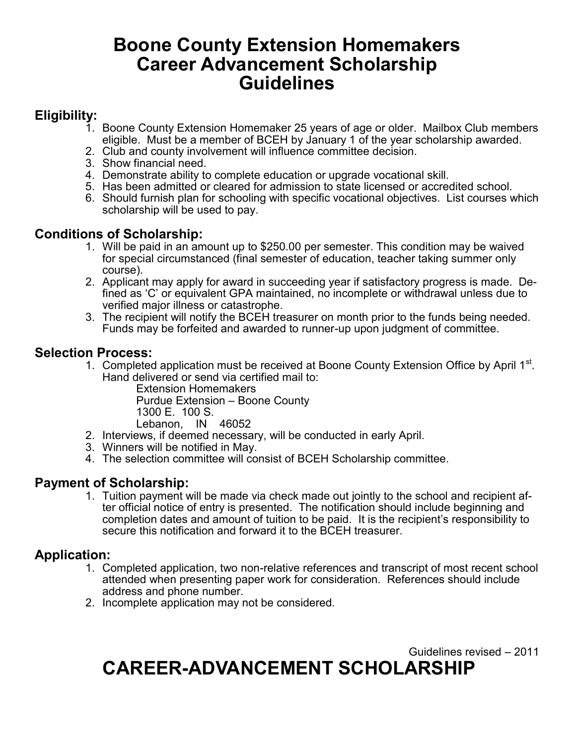# **Boone County Extension Homemakers Career Advancement Scholarship Guidelines**

## **Eligibility:**

- 1. Boone County Extension Homemaker 25 years of age or older. Mailbox Club members eligible. Must be a member of BCEH by January 1 of the year scholarship awarded.
- 2. Club and county involvement will influence committee decision.
- 3. Show financial need.
- 4. Demonstrate ability to complete education or upgrade vocational skill.
- 5. Has been admitted or cleared for admission to state licensed or accredited school.
- 6. Should furnish plan for schooling with specific vocational objectives. List courses which scholarship will be used to pay.

### **Conditions of Scholarship:**

- 1. Will be paid in an amount up to \$250.00 per semester. This condition may be waived for special circumstanced (final semester of education, teacher taking summer only course).
- 2. Applicant may apply for award in succeeding year if satisfactory progress is made. Defined as 'C' or equivalent GPA maintained, no incomplete or withdrawal unless due to verified major illness or catastrophe.
- 3. The recipient will notify the BCEH treasurer on month prior to the funds being needed. Funds may be forfeited and awarded to runner-up upon judgment of committee.

#### **Selection Process:**

1. Completed application must be received at Boone County Extension Office by April 1<sup>st</sup>. Hand delivered or send via certified mail to:

Extension Homemakers Purdue Extension – Boone County 1300 E. 100 S. Lebanon, IN 46052

- 2. Interviews, if deemed necessary, will be conducted in early April.
- 3. Winners will be notified in May.
- 4. The selection committee will consist of BCEH Scholarship committee.

#### **Payment of Scholarship:**

1. Tuition payment will be made via check made out jointly to the school and recipient after official notice of entry is presented. The notification should include beginning and completion dates and amount of tuition to be paid. It is the recipient's responsibility to secure this notification and forward it to the BCEH treasurer.

### **Application:**

- 1. Completed application, two non-relative references and transcript of most recent school attended when presenting paper work for consideration. References should include address and phone number.
- 2. Incomplete application may not be considered.

Guidelines revised – 2011 **CAREER-ADVANCEMENT SCHOLARSHIP**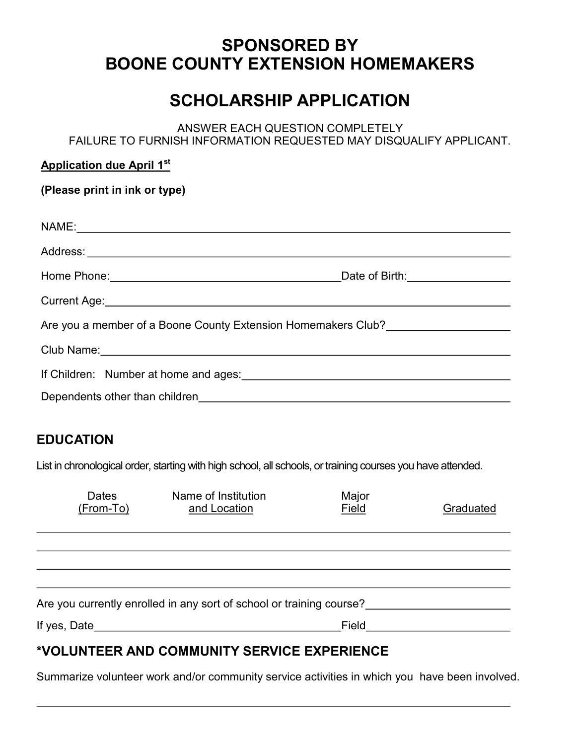# **SPONSORED BY BOONE COUNTY EXTENSION HOMEMAKERS**

# **SCHOLARSHIP APPLICATION**

ANSWER EACH QUESTION COMPLETELY FAILURE TO FURNISH INFORMATION REQUESTED MAY DISQUALIFY APPLICANT.

| <b>Application due April 1st</b>                                                                               |                                                    |                |           |  |  |
|----------------------------------------------------------------------------------------------------------------|----------------------------------------------------|----------------|-----------|--|--|
| (Please print in ink or type)                                                                                  |                                                    |                |           |  |  |
|                                                                                                                |                                                    |                |           |  |  |
|                                                                                                                | NAME: NAME:                                        |                |           |  |  |
|                                                                                                                |                                                    |                |           |  |  |
|                                                                                                                |                                                    |                |           |  |  |
|                                                                                                                | Current Age: <u>Current Age:</u> Current Age: 2004 |                |           |  |  |
| Are you a member of a Boone County Extension Homemakers Club?                                                  |                                                    |                |           |  |  |
| Club Name: Club Name:                                                                                          |                                                    |                |           |  |  |
| If Children: Number at home and ages: National Assemblance and Ages: National Assemblance and Ages in the Ages |                                                    |                |           |  |  |
|                                                                                                                |                                                    |                |           |  |  |
|                                                                                                                |                                                    |                |           |  |  |
| <b>EDUCATION</b>                                                                                               |                                                    |                |           |  |  |
| List in chronological order, starting with high school, all schools, or training courses you have attended.    |                                                    |                |           |  |  |
| <b>Dates</b><br><u>(From-To)</u>                                                                               | Name of Institution<br>and Location                | Major<br>Field | Graduated |  |  |
|                                                                                                                |                                                    |                |           |  |  |

Are you currently enrolled in any sort of school or training course?

If yes, Date Field

### **\*VOLUNTEER AND COMMUNITY SERVICE EXPERIENCE**

Summarize volunteer work and/or community service activities in which you have been involved.